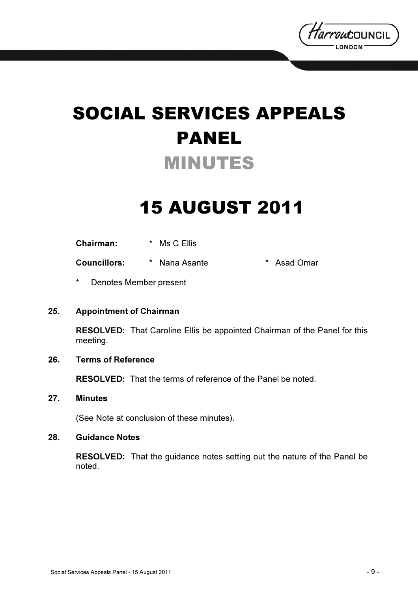

# SOCIAL SERVICES APPEALS PANEL MINUTES

## 15 AUGUST 2011

| <b>Chairman:</b> | Ms C Ellis |  |
|------------------|------------|--|
|------------------|------------|--|

Councillors: \* Nana Asante \* Asad Omar

Denotes Member present

#### 25. Appointment of Chairman

RESOLVED: That Caroline Ellis be appointed Chairman of the Panel for this meeting.

#### 26. Terms of Reference

RESOLVED: That the terms of reference of the Panel be noted.

#### 27. Minutes

(See Note at conclusion of these minutes).

#### 28. Guidance Notes

RESOLVED: That the guidance notes setting out the nature of the Panel be noted.